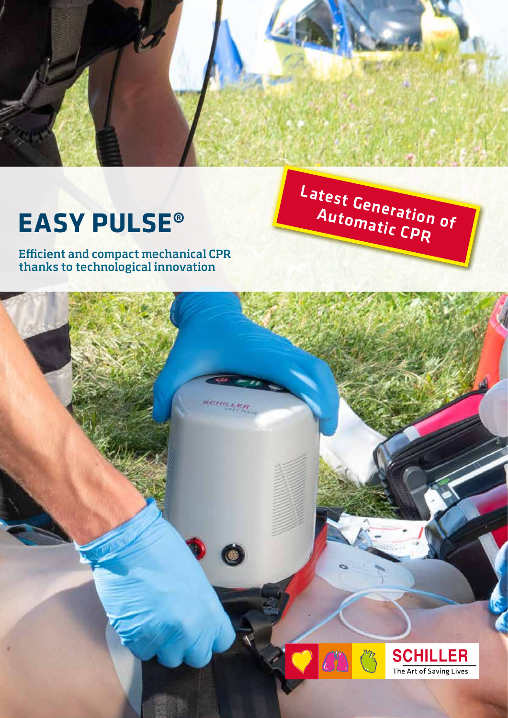

Latest Generation of

Automatic CPR

# **EASY PULSE®**

Efficient and compact mechanical CPR thanks to technological innovation

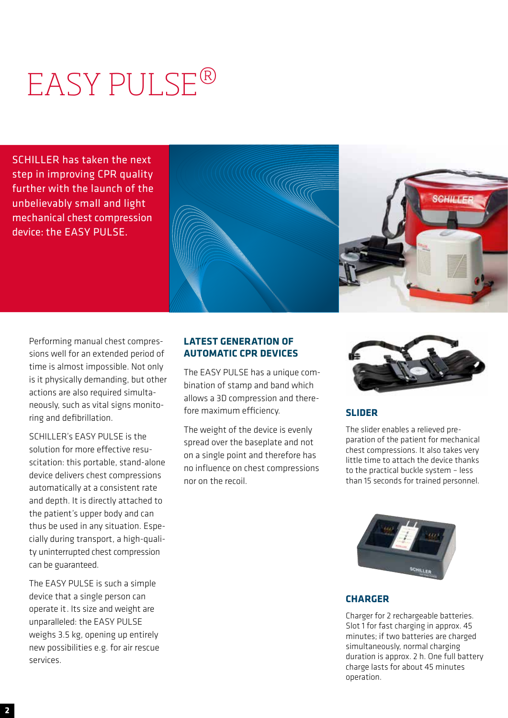# EASY PULSE®

SCHILLER has taken the next step in improving CPR quality further with the launch of the unbelievably small and light mechanical chest compression device: the EASY PULSE.



Performing manual chest compressions well for an extended period of time is almost impossible. Not only is it physically demanding, but other actions are also required simultaneously, such as vital signs monitoring and defibrillation.

SCHILLER's EASY PULSE is the solution for more effective resuscitation: this portable, stand-alone device delivers chest compressions automatically at a consistent rate and depth. It is directly attached to the patient's upper body and can thus be used in any situation. Especially during transport, a high-quality uninterrupted chest compression can be guaranteed.

The EASY PULSE is such a simple device that a single person can operate it. Its size and weight are unparalleled: the EASY PULSE weighs 3.5 kg, opening up entirely new possibilities e.g. for air rescue services.

## **LATEST GENERATION OF AUTOMATIC CPR DEVICES**

The EASY PULSE has a unique combination of stamp and band which allows a 3D compression and therefore maximum efficiency.

The weight of the device is evenly spread over the baseplate and not on a single point and therefore has no influence on chest compressions nor on the recoil.



## **SLIDER**

The slider enables a relieved preparation of the patient for mechanical chest compressions. It also takes very little time to attach the device thanks to the practical buckle system – less than 15 seconds for trained personnel.



## **CHARGER**

Charger for 2 rechargeable batteries. Slot 1 for fast charging in approx. 45 minutes; if two batteries are charged simultaneously, normal charging duration is approx. 2 h. One full battery charge lasts for about 45 minutes operation.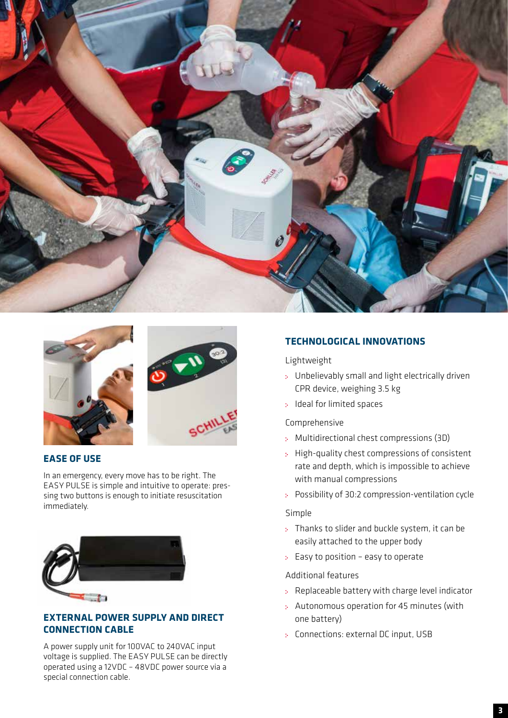



## **EASE OF USE**

In an emergency, every move has to be right. The EASY PULSE is simple and intuitive to operate: pressing two buttons is enough to initiate resuscitation immediately.



## **EXTERNAL POWER SUPPLY AND DIRECT CONNECTION CABLE**

A power supply unit for 100VAC to 240VAC input voltage is supplied. The EASY PULSE can be directly operated using a 12VDC – 48VDC power source via a special connection cable.

## **TECHNOLOGICAL INNOVATIONS**

## Lightweight

- Unbelievably small and light electrically driven CPR device, weighing 3.5 kg
- : Ideal for limited spaces

## Comprehensive

- Multidirectional chest compressions (3D)
- High-quality chest compressions of consistent rate and depth, which is impossible to achieve with manual compressions
- Possibility of 30:2 compression-ventilation cycle

## Simple

- : Thanks to slider and buckle system, it can be easily attached to the upper body
- $\div$  Easy to position easy to operate

## Additional features

- Replaceable battery with charge level indicator
- Autonomous operation for 45 minutes (with one battery)
- Connections: external DC input, USB